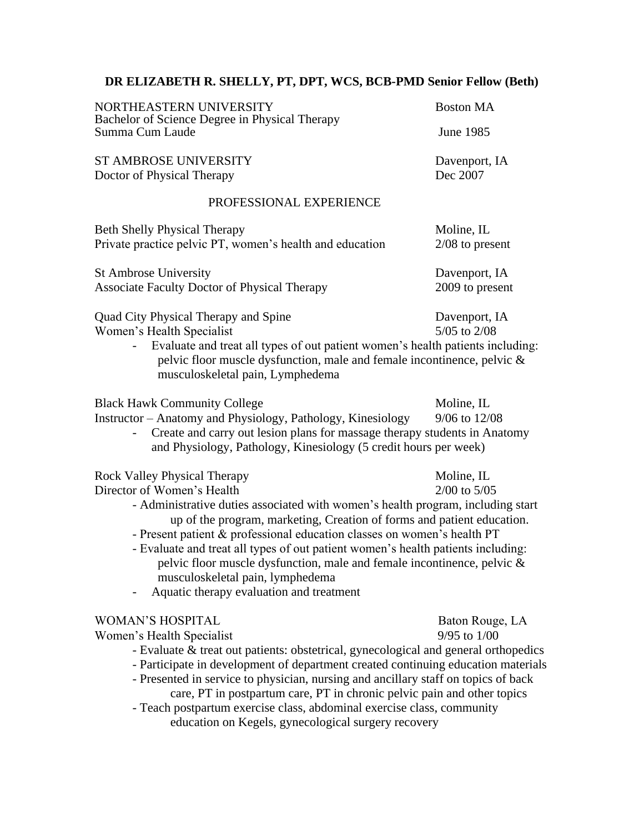## **DR ELIZABETH R. SHELLY, PT, DPT, WCS, BCB-PMD Senior Fellow (Beth)**

| NORTHEASTERN UNIVERSITY                                                                                                                                                                                                                                                                                                                                                                                                                                                                                                                                  | <b>Boston MA</b>                    |
|----------------------------------------------------------------------------------------------------------------------------------------------------------------------------------------------------------------------------------------------------------------------------------------------------------------------------------------------------------------------------------------------------------------------------------------------------------------------------------------------------------------------------------------------------------|-------------------------------------|
| Bachelor of Science Degree in Physical Therapy<br>Summa Cum Laude                                                                                                                                                                                                                                                                                                                                                                                                                                                                                        | June 1985                           |
| <b>ST AMBROSE UNIVERSITY</b><br>Doctor of Physical Therapy                                                                                                                                                                                                                                                                                                                                                                                                                                                                                               | Davenport, IA<br>Dec 2007           |
| PROFESSIONAL EXPERIENCE                                                                                                                                                                                                                                                                                                                                                                                                                                                                                                                                  |                                     |
| <b>Beth Shelly Physical Therapy</b><br>Private practice pelvic PT, women's health and education                                                                                                                                                                                                                                                                                                                                                                                                                                                          | Moline, IL<br>$2/08$ to present     |
| <b>St Ambrose University</b><br><b>Associate Faculty Doctor of Physical Therapy</b>                                                                                                                                                                                                                                                                                                                                                                                                                                                                      | Davenport, IA<br>2009 to present    |
| Quad City Physical Therapy and Spine<br>Women's Health Specialist<br>Evaluate and treat all types of out patient women's health patients including:<br>pelvic floor muscle dysfunction, male and female incontinence, pelvic &<br>musculoskeletal pain, Lymphedema                                                                                                                                                                                                                                                                                       | Davenport, IA<br>5/05 to 2/08       |
| <b>Black Hawk Community College</b><br>Instructor - Anatomy and Physiology, Pathology, Kinesiology<br>Create and carry out lesion plans for massage therapy students in Anatomy<br>and Physiology, Pathology, Kinesiology (5 credit hours per week)                                                                                                                                                                                                                                                                                                      | Moline, IL<br>9/06 to 12/08         |
| <b>Rock Valley Physical Therapy</b><br>Director of Women's Health<br>- Administrative duties associated with women's health program, including start<br>up of the program, marketing, Creation of forms and patient education.<br>- Present patient & professional education classes on women's health PT<br>- Evaluate and treat all types of out patient women's health patients including:<br>pelvic floor muscle dysfunction, male and female incontinence, pelvic &<br>musculoskeletal pain, lymphedema<br>Aquatic therapy evaluation and treatment | Moline, IL<br>$2/00$ to $5/05$      |
| <b>WOMAN'S HOSPITAL</b><br>Women's Health Specialist<br>- Evaluate & treat out patients: obstetrical, gynecological and general orthopedics<br>- Participate in development of department created continuing education materials<br>- Presented in service to physician, nursing and ancillary staff on topics of back<br>care, PT in postpartum care, PT in chronic pelvic pain and other topics<br>- Teach postpartum exercise class, abdominal exercise class, community<br>education on Kegels, gynecological surgery recovery                       | Baton Rouge, LA<br>$9/95$ to $1/00$ |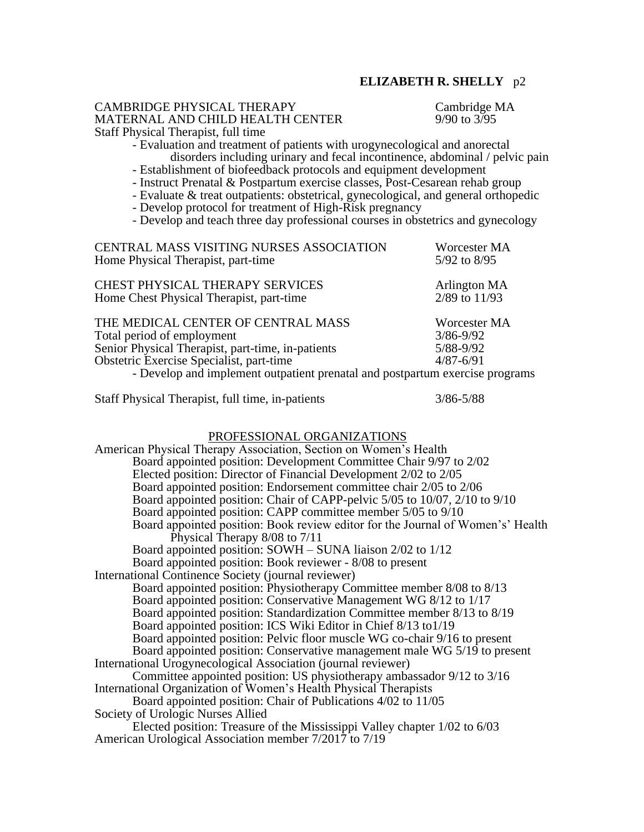### CAMBRIDGE PHYSICAL THERAPY Cambridge MA MATERNAL AND CHILD HEALTH CENTER 9/90 to 3/95 Staff Physical Therapist, full time

- Evaluation and treatment of patients with urogynecological and anorectal disorders including urinary and fecal incontinence, abdominal / pelvic pain

- Establishment of biofeedback protocols and equipment development
- Instruct Prenatal & Postpartum exercise classes, Post-Cesarean rehab group
- Evaluate & treat outpatients: obstetrical, gynecological, and general orthopedic
- Develop protocol for treatment of High-Risk pregnancy

- Develop and teach three day professional courses in obstetrics and gynecology

| CENTRAL MASS VISITING NURSES ASSOCIATION                                     | Worcester MA  |
|------------------------------------------------------------------------------|---------------|
| Home Physical Therapist, part-time                                           | 5/92 to 8/95  |
| <b>CHEST PHYSICAL THERAPY SERVICES</b>                                       | Arlington MA  |
| Home Chest Physical Therapist, part-time                                     | 2/89 to 11/93 |
| THE MEDICAL CENTER OF CENTRAL MASS                                           | Worcester MA  |
| Total period of employment                                                   | $3/86 - 9/92$ |
| Senior Physical Therapist, part-time, in-patients                            | 5/88-9/92     |
| Obstetric Exercise Specialist, part-time                                     | $4/87 - 6/91$ |
| - Develop and implement outpatient prenatal and postpartum exercise programs |               |

Staff Physical Therapist, full time, in-patients 3/86-5/88

#### PROFESSIONAL ORGANIZATIONS

American Physical Therapy Association, Section on Women's Health Board appointed position: Development Committee Chair 9/97 to 2/02 Elected position: Director of Financial Development 2/02 to 2/05 Board appointed position: Endorsement committee chair 2/05 to 2/06 Board appointed position: Chair of CAPP-pelvic 5/05 to 10/07, 2/10 to 9/10 Board appointed position: CAPP committee member 5/05 to 9/10 Board appointed position: Book review editor for the Journal of Women's' Health Physical Therapy 8/08 to 7/11 Board appointed position: SOWH – SUNA liaison 2/02 to 1/12 Board appointed position: Book reviewer - 8/08 to present International Continence Society (journal reviewer) Board appointed position: Physiotherapy Committee member 8/08 to 8/13 Board appointed position: Conservative Management WG 8/12 to 1/17 Board appointed position: Standardization Committee member 8/13 to 8/19 Board appointed position: ICS Wiki Editor in Chief 8/13 to1/19 Board appointed position: Pelvic floor muscle WG co-chair 9/16 to present Board appointed position: Conservative management male WG 5/19 to present International Urogynecological Association (journal reviewer) Committee appointed position: US physiotherapy ambassador 9/12 to 3/16 International Organization of Women's Health Physical Therapists Board appointed position: Chair of Publications 4/02 to 11/05 Society of Urologic Nurses Allied Elected position: Treasure of the Mississippi Valley chapter 1/02 to 6/03 American Urological Association member 7/2017 to 7/19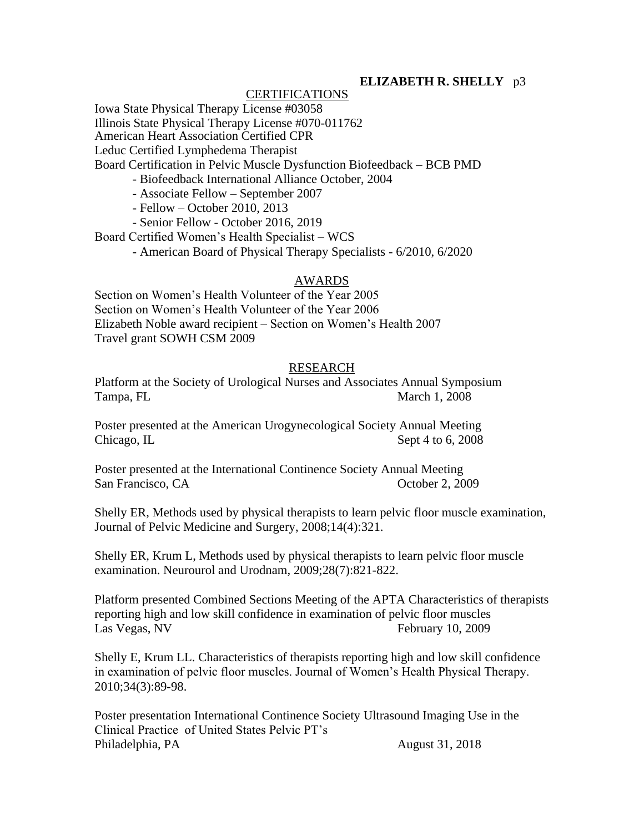### CERTIFICATIONS

Iowa State Physical Therapy License #03058 Illinois State Physical Therapy License #070-011762 American Heart Association Certified CPR Leduc Certified Lymphedema Therapist Board Certification in Pelvic Muscle Dysfunction Biofeedback – BCB PMD

- Biofeedback International Alliance October, 2004

- Associate Fellow – September 2007

- Fellow – October 2010, 2013

- Senior Fellow - October 2016, 2019

Board Certified Women's Health Specialist – WCS

- American Board of Physical Therapy Specialists - 6/2010, 6/2020

### AWARDS

Section on Women's Health Volunteer of the Year 2005 Section on Women's Health Volunteer of the Year 2006 Elizabeth Noble award recipient – Section on Women's Health 2007 Travel grant SOWH CSM 2009

### RESEARCH

Platform at the Society of Urological Nurses and Associates Annual Symposium Tampa, FL March 1, 2008

Poster presented at the American Urogynecological Society Annual Meeting Chicago, IL Sept 4 to 6, 2008

Poster presented at the International Continence Society Annual Meeting San Francisco, CA **October 2, 2009** 

Shelly ER, Methods used by physical therapists to learn pelvic floor muscle examination, Journal of Pelvic Medicine and Surgery, 2008;14(4):321.

Shelly ER, Krum L, Methods used by physical therapists to learn pelvic floor muscle examination. Neurourol and Urodnam, 2009;28(7):821-822.

Platform presented Combined Sections Meeting of the APTA Characteristics of therapists reporting high and low skill confidence in examination of pelvic floor muscles Las Vegas, NV February 10, 2009

Shelly E, Krum LL. Characteristics of therapists reporting high and low skill confidence in examination of pelvic floor muscles. Journal of Women's Health Physical Therapy. 2010;34(3):89-98.

Poster presentation International Continence Society Ultrasound Imaging Use in the Clinical Practice of United States Pelvic PT's Philadelphia, PA August 31, 2018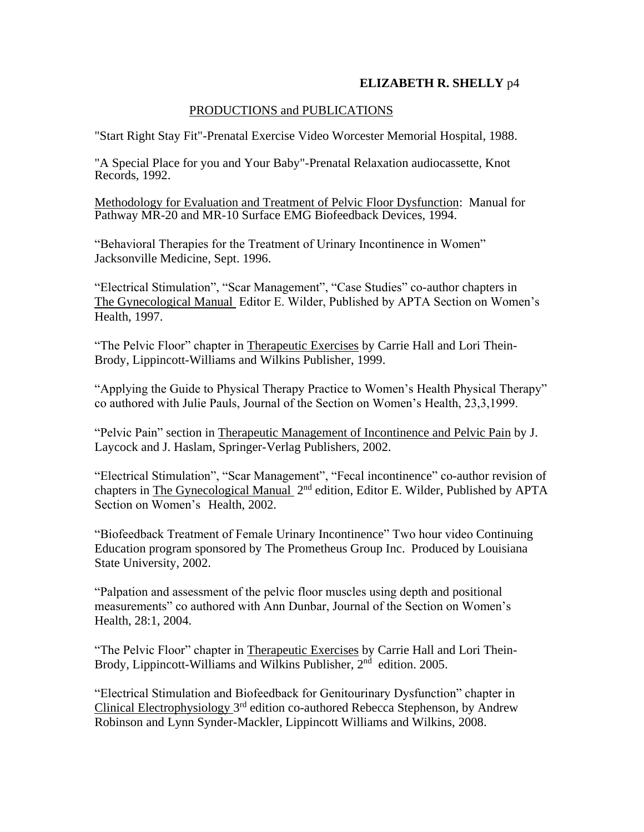### PRODUCTIONS and PUBLICATIONS

"Start Right Stay Fit"-Prenatal Exercise Video Worcester Memorial Hospital, 1988.

"A Special Place for you and Your Baby"-Prenatal Relaxation audiocassette, Knot Records, 1992.

Methodology for Evaluation and Treatment of Pelvic Floor Dysfunction: Manual for Pathway MR-20 and MR-10 Surface EMG Biofeedback Devices, 1994.

"Behavioral Therapies for the Treatment of Urinary Incontinence in Women" Jacksonville Medicine, Sept. 1996.

"Electrical Stimulation", "Scar Management", "Case Studies" co-author chapters in The Gynecological Manual Editor E. Wilder, Published by APTA Section on Women's Health, 1997.

"The Pelvic Floor" chapter in Therapeutic Exercises by Carrie Hall and Lori Thein-Brody, Lippincott-Williams and Wilkins Publisher, 1999.

"Applying the Guide to Physical Therapy Practice to Women's Health Physical Therapy" co authored with Julie Pauls, Journal of the Section on Women's Health, 23,3,1999.

"Pelvic Pain" section in Therapeutic Management of Incontinence and Pelvic Pain by J. Laycock and J. Haslam, Springer-Verlag Publishers, 2002.

"Electrical Stimulation", "Scar Management", "Fecal incontinence" co-author revision of chapters in The Gynecological Manual 2<sup>nd</sup> edition, Editor E. Wilder, Published by APTA Section on Women's Health, 2002.

"Biofeedback Treatment of Female Urinary Incontinence" Two hour video Continuing Education program sponsored by The Prometheus Group Inc. Produced by Louisiana State University, 2002.

"Palpation and assessment of the pelvic floor muscles using depth and positional measurements" co authored with Ann Dunbar, Journal of the Section on Women's Health, 28:1, 2004.

"The Pelvic Floor" chapter in Therapeutic Exercises by Carrie Hall and Lori Thein-Brody, Lippincott-Williams and Wilkins Publisher, 2<sup>nd</sup> edition. 2005.

"Electrical Stimulation and Biofeedback for Genitourinary Dysfunction" chapter in Clinical Electrophysiology 3<sup>rd</sup> edition co-authored Rebecca Stephenson, by Andrew Robinson and Lynn Synder-Mackler, Lippincott Williams and Wilkins, 2008.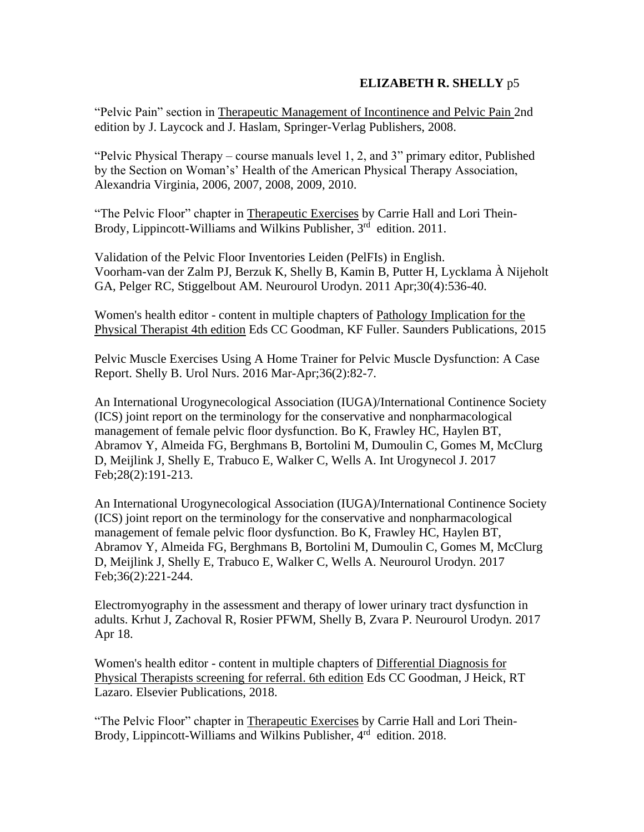"Pelvic Pain" section in Therapeutic Management of Incontinence and Pelvic Pain 2nd edition by J. Laycock and J. Haslam, Springer-Verlag Publishers, 2008.

"Pelvic Physical Therapy – course manuals level 1, 2, and 3" primary editor, Published by the Section on Woman's' Health of the American Physical Therapy Association, Alexandria Virginia, 2006, 2007, 2008, 2009, 2010.

"The Pelvic Floor" chapter in Therapeutic Exercises by Carrie Hall and Lori Thein-Brody, Lippincott-Williams and Wilkins Publisher, 3<sup>rd</sup> edition. 2011.

[Validation of the Pelvic Floor Inventories Leiden \(PelFIs\) in English.](https://www.ncbi.nlm.nih.gov/pubmed/21351131) Voorham-van der Zalm PJ, Berzuk K, Shelly B, Kamin B, Putter H, Lycklama À Nijeholt GA, Pelger RC, Stiggelbout AM. Neurourol Urodyn. 2011 Apr;30(4):536-40.

Women's health editor - content in multiple chapters of Pathology Implication for the Physical Therapist 4th edition Eds CC Goodman, KF Fuller. Saunders Publications, 2015

[Pelvic Muscle Exercises Using A Home Trainer for Pelvic Muscle Dysfunction: A Case](https://www.ncbi.nlm.nih.gov/pubmed/27281865)  [Report.](https://www.ncbi.nlm.nih.gov/pubmed/27281865) Shelly B. Urol Nurs. 2016 Mar-Apr;36(2):82-7.

[An International Urogynecological Association \(IUGA\)/International Continence Society](https://www.ncbi.nlm.nih.gov/pubmed/27921161)  [\(ICS\) joint report on the terminology for the conservative and nonpharmacological](https://www.ncbi.nlm.nih.gov/pubmed/27921161)  [management of female pelvic floor dysfunction.](https://www.ncbi.nlm.nih.gov/pubmed/27921161) Bo K, Frawley HC, Haylen BT, Abramov Y, Almeida FG, Berghmans B, Bortolini M, Dumoulin C, Gomes M, McClurg D, Meijlink J, Shelly E, Trabuco E, Walker C, Wells A. Int Urogynecol J. 2017 Feb;28(2):191-213.

[An International Urogynecological Association \(IUGA\)/International Continence Society](https://www.ncbi.nlm.nih.gov/pubmed/27918122)  [\(ICS\) joint report on the terminology for the conservative and nonpharmacological](https://www.ncbi.nlm.nih.gov/pubmed/27918122)  [management of female pelvic floor dysfunction.](https://www.ncbi.nlm.nih.gov/pubmed/27918122) Bo K, Frawley HC, Haylen BT, Abramov Y, Almeida FG, Berghmans B, Bortolini M, Dumoulin C, Gomes M, McClurg D, Meijlink J, Shelly E, Trabuco E, Walker C, Wells A. Neurourol Urodyn. 2017 Feb;36(2):221-244.

[Electromyography in the assessment and therapy of lower urinary tract dysfunction in](https://www.ncbi.nlm.nih.gov/pubmed/28419532)  [adults.](https://www.ncbi.nlm.nih.gov/pubmed/28419532) Krhut J, Zachoval R, Rosier PFWM, Shelly B, Zvara P. Neurourol Urodyn. 2017 Apr 18.

Women's health editor - content in multiple chapters of Differential Diagnosis for Physical Therapists screening for referral. 6th edition Eds CC Goodman, J Heick, RT Lazaro. Elsevier Publications, 2018.

"The Pelvic Floor" chapter in Therapeutic Exercises by Carrie Hall and Lori Thein-Brody, Lippincott-Williams and Wilkins Publisher, 4<sup>rd</sup> edition. 2018.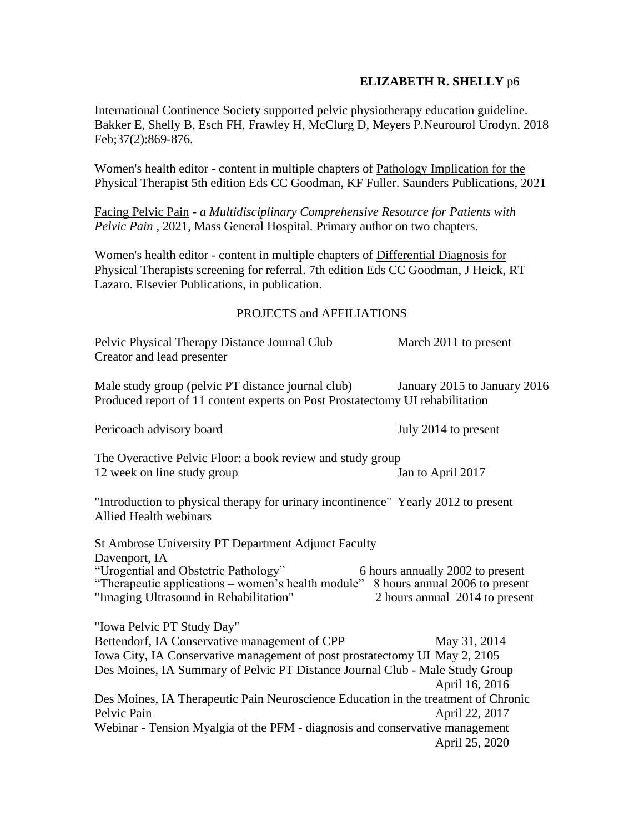[International Continence Society supported pelvic physiotherapy education guideline.](https://pubmed.ncbi.nlm.nih.gov/29464826/) Bakker E, Shelly B, Esch FH, Frawley H, McClurg D, Meyers P.Neurourol Urodyn. 2018 Feb;37(2):869-876.

Women's health editor - content in multiple chapters of Pathology Implication for the Physical Therapist 5th edition Eds CC Goodman, KF Fuller. Saunders Publications, 2021

Facing Pelvic Pain *- a Multidisciplinary Comprehensive Resource for Patients with Pelvic Pain* , 2021, Mass General Hospital. Primary author on two chapters.

Women's health editor - content in multiple chapters of Differential Diagnosis for Physical Therapists screening for referral. 7th edition Eds CC Goodman, J Heick, RT Lazaro. Elsevier Publications, in publication.

### PROJECTS and AFFILIATIONS

Pelvic Physical Therapy Distance Journal Club March 2011 to present Creator and lead presenter

Male study group (pelvic PT distance journal club) January 2015 to January 2016 Produced report of 11 content experts on Post Prostatectomy UI rehabilitation

Pericoach advisory board July 2014 to present

The Overactive Pelvic Floor: a book review and study group 12 week on line study group Jan to April 2017

"Introduction to physical therapy for urinary incontinence" Yearly 2012 to present Allied Health webinars

St Ambrose University PT Department Adjunct Faculty Davenport, IA "Urogential and Obstetric Pathology" 6 hours annually 2002 to present "Therapeutic applications – women's health module" 8 hours annual 2006 to present "Imaging Ultrasound in Rehabilitation" 2 hours annual 2014 to present "Iowa Pelvic PT Study Day" Bettendorf, IA Conservative management of CPP May 31, 2014 Iowa City, IA Conservative management of post prostatectomy UI May 2, 2105 Des Moines, IA Summary of Pelvic PT Distance Journal Club - Male Study Group April 16, 2016 Des Moines, IA Therapeutic Pain Neuroscience Education in the treatment of Chronic Pelvic Pain April 22, 2017 Webinar - Tension Myalgia of the PFM - diagnosis and conservative management April 25, 2020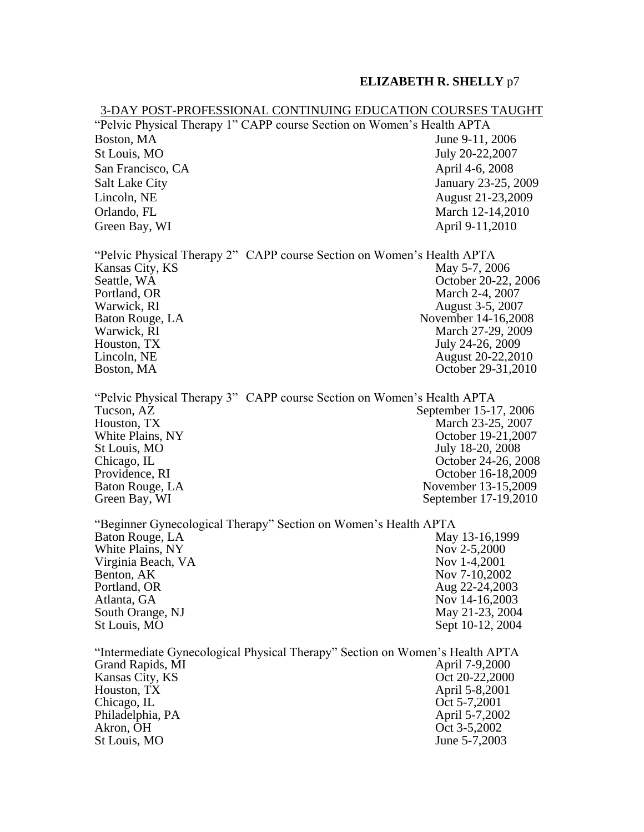#### 3-DAY POST-PROFESSIONAL CONTINUING EDUCATION COURSES TAUGHT

"Pelvic Physical Therapy 1" CAPP course Section on Women's Health APTA Boston, MA June 9-11, 2006 St Louis, MO July 20-22,2007 San Francisco, CA April 4-6, 2008 Salt Lake City **Salt Lake City** January 23-25, 2009 Lincoln, NE August 21-23,2009 Orlando, FL March 12-14,2010 Green Bay, WI April 9-11,2010

"Pelvic Physical Therapy 2" CAPP course Section on Women's Health APTA Kansas City, KS May 5-7, 2006 Seattle, WA Correction Contract Contract Contract Contract Contract Contract Contract Contract Contract Contract Contract Contract Contract Contract Contract Contract Contract Contract Contract Contract Contract Contract C Portland, OR March 2-4, 2007 Warwick, RI August 3-5, 2007 Baton Rouge, LA November 14-16,2008 Warwick, RI March 27-29, 2009 Houston, TX  $\qquad \qquad$  July 24-26, 2009 Lincoln, NE August 20-22,2010 Boston, MA October 29-31,2010

"Pelvic Physical Therapy 3" CAPP course Section on Women's Health APTA Tucson, AZ September 15-17, 2006 Houston, TX March 23-25, 2007 White Plains, NY Corollary 2007 and 2008 and 2009 and 2009 and 2009 and 2009 and 2009 and 2009 and 2009 and 20 St Louis, MO July 18-20, 2008 Chicago, IL October 24-26, 2008 Providence, RI Correction Contract Correction Correction Correction Correction Correction Correction Correction Correction Correction Correction Correction Correction Correction Correction Correction Correction Correction Baton Rouge, LA November 13-15,2009 Green Bay, WI September 17-19,2010

"Beginner Gynecological Therapy" Section on Women's Health APTA May 13-16,1999 White Plains, NY Nov 2-5,2000 Virginia Beach, VA Nov 1-4,2001 Benton, AK Nov 7-10,2002 Portland, OR Aug 22-24,2003 Atlanta, GA Nov 14-16,2003 South Orange, NJ May 21-23, 2004 St Louis, MO  $S$ ept 10-12, 2004

"Intermediate Gynecological Physical Therapy" Section on Women's Health APTA Grand Rapids, MI April 7-9,2000 Kansas City, KS Oct 20-22,2000 Houston, TX April 5-8,2001 Chicago, IL Chicago, IL Chicago, IL Chicago, IL Chicago, IL Chicago, IL Chicago, IL Chicago, IL Chicago, IL Chicago, IL Chicago, IL Chicago, IL Chicago, IL Chicago, IL Chicago, IL Chicago, IL Chicago, IL Chicago, IL Chicag Philadelphia, PA April 5-7,2002 Akron, OH Oct 3-5,2002 St Louis, MO June 5-7,2003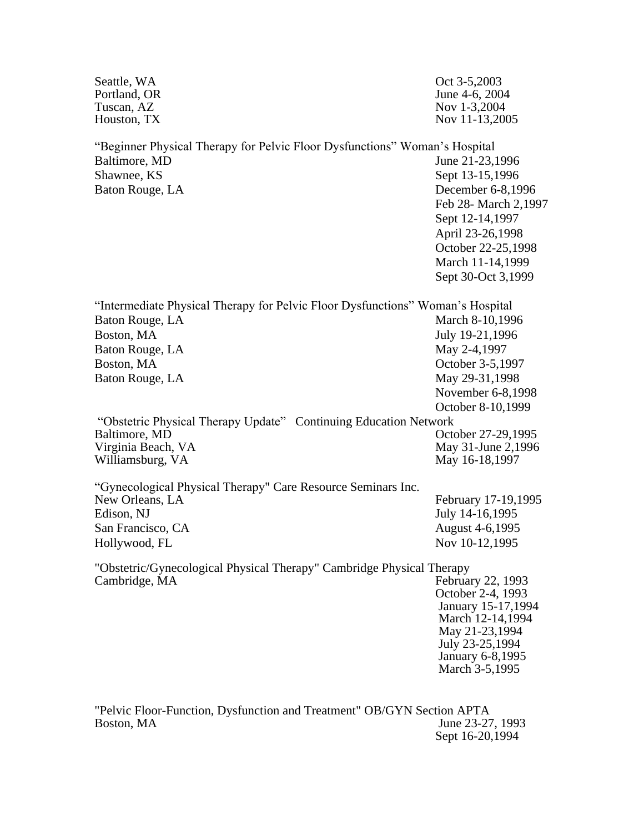| Seattle, WA<br>Portland, OR<br>Tuscan, AZ<br>Houston, TX                                                                      | Oct 3-5,2003<br>June 4-6, 2004<br>Nov 1-3,2004<br>Nov 11-13,2005                                                                                                                       |
|-------------------------------------------------------------------------------------------------------------------------------|----------------------------------------------------------------------------------------------------------------------------------------------------------------------------------------|
| "Beginner Physical Therapy for Pelvic Floor Dysfunctions" Woman's Hospital<br>Baltimore, MD<br>Shawnee, KS<br>Baton Rouge, LA | June 21-23,1996<br>Sept 13-15,1996<br>December 6-8,1996<br>Feb 28- March 2,1997<br>Sept 12-14,1997<br>April 23-26,1998<br>October 22-25,1998<br>March 11-14,1999<br>Sept 30-Oct 3,1999 |
| "Intermediate Physical Therapy for Pelvic Floor Dysfunctions" Woman's Hospital<br>Baton Rouge, LA                             | March 8-10,1996                                                                                                                                                                        |
| Boston, MA                                                                                                                    | July 19-21,1996                                                                                                                                                                        |
| Baton Rouge, LA                                                                                                               | May 2-4,1997                                                                                                                                                                           |
| Boston, MA                                                                                                                    | October 3-5,1997                                                                                                                                                                       |
| Baton Rouge, LA                                                                                                               | May 29-31,1998<br>November 6-8,1998<br>October 8-10,1999                                                                                                                               |
| "Obstetric Physical Therapy Update" Continuing Education Network                                                              |                                                                                                                                                                                        |
| Baltimore, MD                                                                                                                 | October 27-29,1995                                                                                                                                                                     |
| Virginia Beach, VA<br>Williamsburg, VA                                                                                        | May 31-June 2,1996<br>May 16-18,1997                                                                                                                                                   |
| "Gynecological Physical Therapy" Care Resource Seminars Inc.                                                                  |                                                                                                                                                                                        |
| New Orleans, LA                                                                                                               | February 17-19,1995                                                                                                                                                                    |
| Edison, NJ                                                                                                                    | July 14-16,1995                                                                                                                                                                        |
| San Francisco, CA                                                                                                             | August 4-6,1995                                                                                                                                                                        |
| Hollywood, FL                                                                                                                 | Nov 10-12,1995                                                                                                                                                                         |
| "Obstetric/Gynecological Physical Therapy" Cambridge Physical Therapy<br>Cambridge, MA                                        | February 22, 1993<br>October 2-4, 1993<br>January 15-17,1994<br>March 12-14,1994<br>May 21-23,1994<br>July 23-25,1994<br>January 6-8,1995<br>March 3-5,1995                            |
|                                                                                                                               |                                                                                                                                                                                        |

"Pelvic Floor-Function, Dysfunction and Treatment" OB/GYN Section APTA Boston, MA June 23-27, 1993 Sept 16-20,1994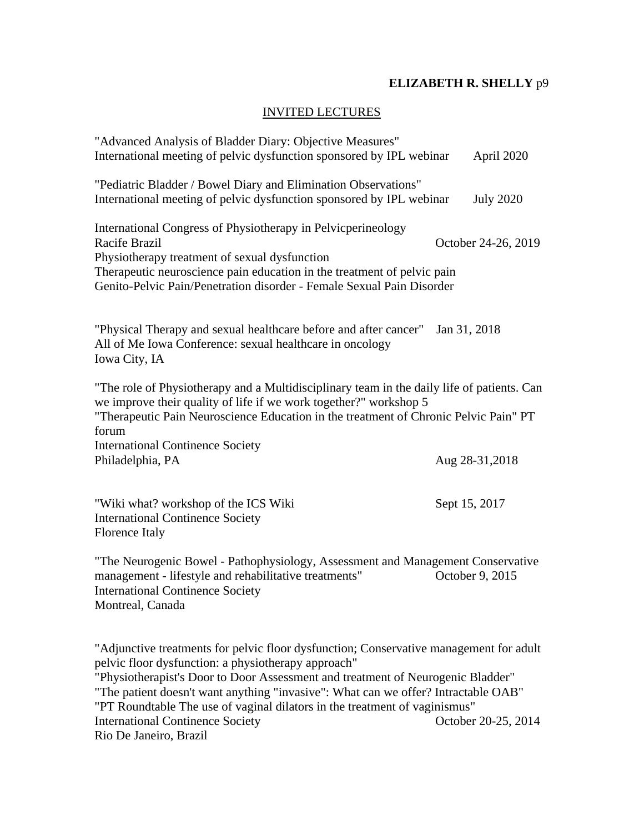## INVITED LECTURES

| "Advanced Analysis of Bladder Diary: Objective Measures"<br>International meeting of pelvic dysfunction sponsored by IPL webinar                                                                                                                                                                                                                                                                     | April 2020          |
|------------------------------------------------------------------------------------------------------------------------------------------------------------------------------------------------------------------------------------------------------------------------------------------------------------------------------------------------------------------------------------------------------|---------------------|
| "Pediatric Bladder / Bowel Diary and Elimination Observations"<br>International meeting of pelvic dysfunction sponsored by IPL webinar                                                                                                                                                                                                                                                               | <b>July 2020</b>    |
| International Congress of Physiotherapy in Pelvicperineology<br><b>Racife Brazil</b><br>Physiotherapy treatment of sexual dysfunction<br>Therapeutic neuroscience pain education in the treatment of pelvic pain<br>Genito-Pelvic Pain/Penetration disorder - Female Sexual Pain Disorder                                                                                                            | October 24-26, 2019 |
| "Physical Therapy and sexual healthcare before and after cancer"<br>All of Me Iowa Conference: sexual healthcare in oncology<br>Iowa City, IA                                                                                                                                                                                                                                                        | Jan 31, 2018        |
| "The role of Physiotherapy and a Multidisciplinary team in the daily life of patients. Can<br>we improve their quality of life if we work together?" workshop 5<br>"Therapeutic Pain Neuroscience Education in the treatment of Chronic Pelvic Pain" PT<br>forum<br><b>International Continence Society</b><br>Philadelphia, PA                                                                      | Aug 28-31,2018      |
| "Wiki what? workshop of the ICS Wiki<br><b>International Continence Society</b><br>Florence Italy                                                                                                                                                                                                                                                                                                    | Sept 15, 2017       |
| "The Neurogenic Bowel - Pathophysiology, Assessment and Management Conservative<br>management - lifestyle and rehabilitative treatments"<br><b>International Continence Society</b><br>Montreal, Canada                                                                                                                                                                                              | October 9, 2015     |
| "Adjunctive treatments for pelvic floor dysfunction; Conservative management for adult<br>pelvic floor dysfunction: a physiotherapy approach"<br>"Physiotherapist's Door to Door Assessment and treatment of Neurogenic Bladder"<br>"The patient doesn't want anything "invasive": What can we offer? Intractable OAB"<br>"DT Doundtoble The use of veginal dilators in the treatment of veginismus" |                     |

["PT Roundtable The use of vaginal dilators in the treatment of vaginismus"](http://www.bethshelly.com/docs/Round_table_handout_The_use_of_dilators.pdf) International Continence Society Rio De Janeiro, Brazil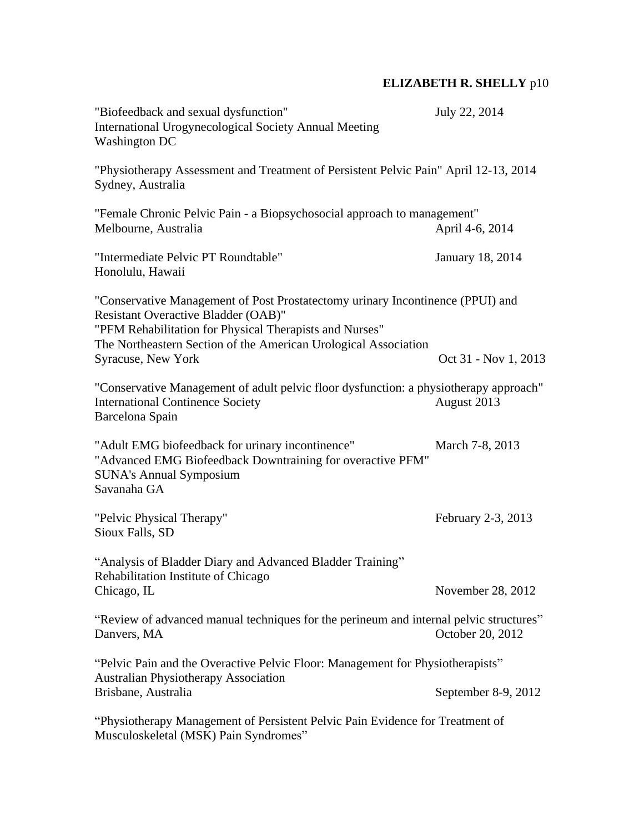| "Biofeedback and sexual dysfunction"<br><b>International Urogynecological Society Annual Meeting</b><br><b>Washington DC</b>                                                                                                                                                     | July 22, 2014        |
|----------------------------------------------------------------------------------------------------------------------------------------------------------------------------------------------------------------------------------------------------------------------------------|----------------------|
| "Physiotherapy Assessment and Treatment of Persistent Pelvic Pain" April 12-13, 2014<br>Sydney, Australia                                                                                                                                                                        |                      |
| "Female Chronic Pelvic Pain - a Biopsychosocial approach to management"<br>Melbourne, Australia                                                                                                                                                                                  | April 4-6, 2014      |
| "Intermediate Pelvic PT Roundtable"<br>Honolulu, Hawaii                                                                                                                                                                                                                          | January 18, 2014     |
| "Conservative Management of Post Prostatectomy urinary Incontinence (PPUI) and<br><b>Resistant Overactive Bladder (OAB)"</b><br>"PFM Rehabilitation for Physical Therapists and Nurses"<br>The Northeastern Section of the American Urological Association<br>Syracuse, New York | Oct 31 - Nov 1, 2013 |
| "Conservative Management of adult pelvic floor dysfunction: a physiotherapy approach"<br><b>International Continence Society</b><br>Barcelona Spain                                                                                                                              | August 2013          |
| "Adult EMG biofeedback for urinary incontinence"<br>"Advanced EMG Biofeedback Downtraining for overactive PFM"<br><b>SUNA's Annual Symposium</b><br>Savanaha GA                                                                                                                  | March 7-8, 2013      |
| "Pelvic Physical Therapy"<br>Sioux Falls, SD                                                                                                                                                                                                                                     | February 2-3, 2013   |
| "Analysis of Bladder Diary and Advanced Bladder Training"<br>Rehabilitation Institute of Chicago<br>Chicago, IL                                                                                                                                                                  | November 28, 2012    |
| "Review of advanced manual techniques for the perineum and internal pelvic structures"<br>Danvers, MA                                                                                                                                                                            | October 20, 2012     |
| "Pelvic Pain and the Overactive Pelvic Floor: Management for Physiotherapists"                                                                                                                                                                                                   |                      |
| <b>Australian Physiotherapy Association</b><br>Brisbane, Australia                                                                                                                                                                                                               | September 8-9, 2012  |
| "Physiotherapy Management of Persistent Pelvic Pain Evidence for Treatment of<br>Musculoskeletal (MSK) Pain Syndromes"                                                                                                                                                           |                      |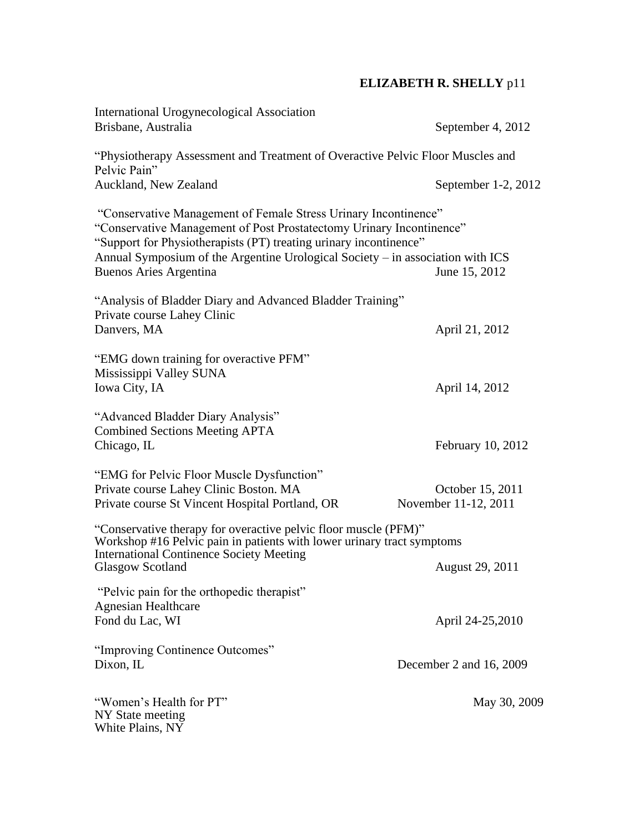| International Urogynecological Association<br>Brisbane, Australia                                                                                                                                                                                                                                                               | September 4, 2012                        |
|---------------------------------------------------------------------------------------------------------------------------------------------------------------------------------------------------------------------------------------------------------------------------------------------------------------------------------|------------------------------------------|
| "Physiotherapy Assessment and Treatment of Overactive Pelvic Floor Muscles and<br>Pelvic Pain"                                                                                                                                                                                                                                  |                                          |
| Auckland, New Zealand                                                                                                                                                                                                                                                                                                           | September 1-2, 2012                      |
| "Conservative Management of Female Stress Urinary Incontinence"<br>"Conservative Management of Post Prostatectomy Urinary Incontinence"<br>"Support for Physiotherapists (PT) treating urinary incontinence"<br>Annual Symposium of the Argentine Urological Society – in association with ICS<br><b>Buenos Aries Argentina</b> | June 15, 2012                            |
| "Analysis of Bladder Diary and Advanced Bladder Training"<br>Private course Lahey Clinic<br>Danvers, MA                                                                                                                                                                                                                         | April 21, 2012                           |
| "EMG down training for overactive PFM"<br>Mississippi Valley SUNA<br>Iowa City, IA                                                                                                                                                                                                                                              | April 14, 2012                           |
| "Advanced Bladder Diary Analysis"<br><b>Combined Sections Meeting APTA</b><br>Chicago, IL                                                                                                                                                                                                                                       | February 10, 2012                        |
| "EMG for Pelvic Floor Muscle Dysfunction"<br>Private course Lahey Clinic Boston. MA<br>Private course St Vincent Hospital Portland, OR                                                                                                                                                                                          | October 15, 2011<br>November 11-12, 2011 |
| "Conservative therapy for overactive pelvic floor muscle (PFM)"<br>Workshop #16 Pelvic pain in patients with lower urinary tract symptoms<br><b>International Continence Society Meeting</b>                                                                                                                                    |                                          |
| <b>Glasgow Scotland</b>                                                                                                                                                                                                                                                                                                         | <b>August 29, 2011</b>                   |
| "Pelvic pain for the orthopedic therapist"<br><b>Agnesian Healthcare</b><br>Fond du Lac, WI                                                                                                                                                                                                                                     | April 24-25,2010                         |
| "Improving Continence Outcomes"<br>Dixon, IL                                                                                                                                                                                                                                                                                    | December 2 and 16, 2009                  |
| "Women's Health for PT"<br>NY State meeting<br>White Plains, NY                                                                                                                                                                                                                                                                 | May 30, 2009                             |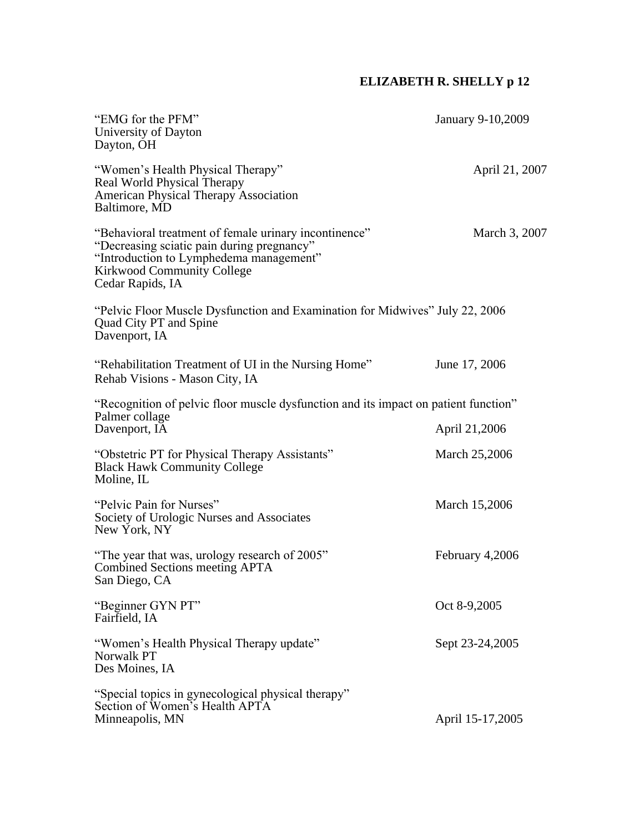| "EMG for the PFM"<br>University of Dayton<br>Dayton, OH                                                                                                                                          | January 9-10,2009 |
|--------------------------------------------------------------------------------------------------------------------------------------------------------------------------------------------------|-------------------|
| "Women's Health Physical Therapy"<br>Real World Physical Therapy<br><b>American Physical Therapy Association</b><br>Baltimore, MD                                                                | April 21, 2007    |
| "Behavioral treatment of female urinary incontinence"<br>"Decreasing sciatic pain during pregnancy"<br>"Introduction to Lymphedema management"<br>Kirkwood Community College<br>Cedar Rapids, IA | March 3, 2007     |
| "Pelvic Floor Muscle Dysfunction and Examination for Midwives" July 22, 2006<br>Quad City PT and Spine<br>Davenport, IA                                                                          |                   |
| "Rehabilitation Treatment of UI in the Nursing Home"<br>Rehab Visions - Mason City, IA                                                                                                           | June 17, 2006     |
| "Recognition of pelvic floor muscle dysfunction and its impact on patient function"<br>Palmer collage<br>Davenport, IA                                                                           | April 21,2006     |
| "Obstetric PT for Physical Therapy Assistants"<br><b>Black Hawk Community College</b><br>Moline, IL                                                                                              | March 25,2006     |
| "Pelvic Pain for Nurses"<br>Society of Urologic Nurses and Associates<br>New York, NY                                                                                                            | March 15,2006     |
| "The year that was, urology research of 2005"<br>Combined Sections meeting APTA<br>San Diego, CA                                                                                                 | February 4,2006   |
| "Beginner GYN PT"<br>Fairfield, IA                                                                                                                                                               | Oct 8-9,2005      |
| "Women's Health Physical Therapy update"<br>Norwalk PT<br>Des Moines, IA                                                                                                                         | Sept 23-24,2005   |
| "Special topics in gynecological physical therapy"<br>Section of Women's Health APTA<br>Minneapolis, MN                                                                                          | April 15-17,2005  |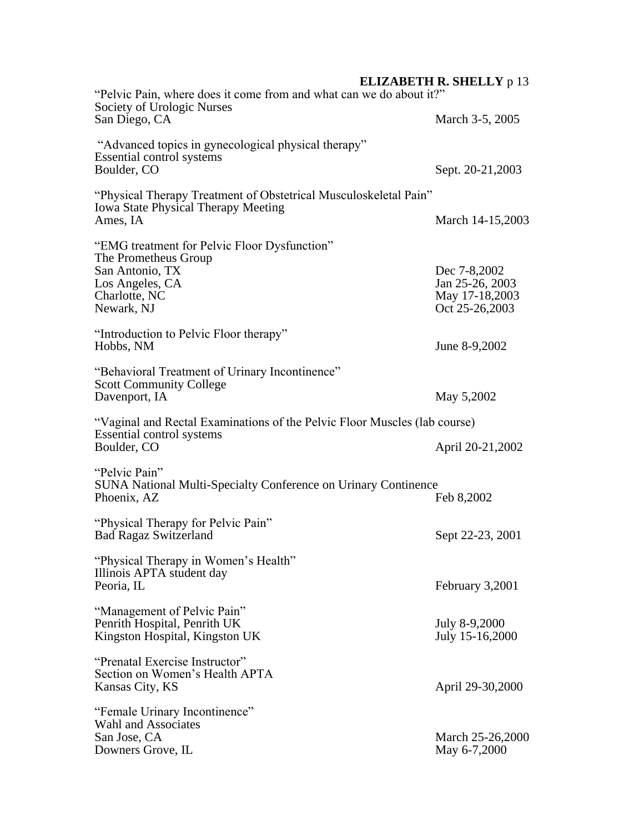| "Pelvic Pain, where does it come from and what can we do about it?"<br>Society of Urologic Nurses                                         |                                                                     |
|-------------------------------------------------------------------------------------------------------------------------------------------|---------------------------------------------------------------------|
| San Diego, CA                                                                                                                             | March 3-5, 2005                                                     |
| "Advanced topics in gynecological physical therapy"<br>Essential control systems<br>Boulder, CO                                           | Sept. 20-21,2003                                                    |
| "Physical Therapy Treatment of Obstetrical Musculoskeletal Pain"<br><b>Iowa State Physical Therapy Meeting</b><br>Ames, IA                | March 14-15,2003                                                    |
| "EMG treatment for Pelvic Floor Dysfunction"<br>The Prometheus Group<br>San Antonio, TX<br>Los Angeles, CA<br>Charlotte, NC<br>Newark, NJ | Dec 7-8,2002<br>Jan 25-26, 2003<br>May 17-18,2003<br>Oct 25-26,2003 |
| "Introduction to Pelvic Floor therapy"<br>Hobbs, NM                                                                                       | June 8-9,2002                                                       |
| "Behavioral Treatment of Urinary Incontinence"<br><b>Scott Community College</b><br>Davenport, IA                                         | May 5,2002                                                          |
| "Vaginal and Rectal Examinations of the Pelvic Floor Muscles (lab course)<br>Essential control systems<br>Boulder, CO                     | April 20-21,2002                                                    |
| "Pelvic Pain"<br><b>SUNA National Multi-Specialty Conference on Urinary Continence</b><br>Phoenix, AZ                                     | Feb 8,2002                                                          |
| "Physical Therapy for Pelvic Pain"<br><b>Bad Ragaz Switzerland</b>                                                                        | Sept 22-23, 2001                                                    |
| "Physical Therapy in Women's Health"<br>Illinois APTA student day<br>Peoria, IL                                                           | February 3,2001                                                     |
| "Management of Pelvic Pain"<br>Penrith Hospital, Penrith UK<br>Kingston Hospital, Kingston UK                                             | July 8-9,2000<br>July 15-16,2000                                    |
| "Prenatal Exercise Instructor"<br>Section on Women's Health APTA<br>Kansas City, KS                                                       | April 29-30,2000                                                    |
| "Female Urinary Incontinence"<br>Wahl and Associates<br>San Jose, CA<br>Downers Grove, IL                                                 | March 25-26,2000<br>May 6-7,2000                                    |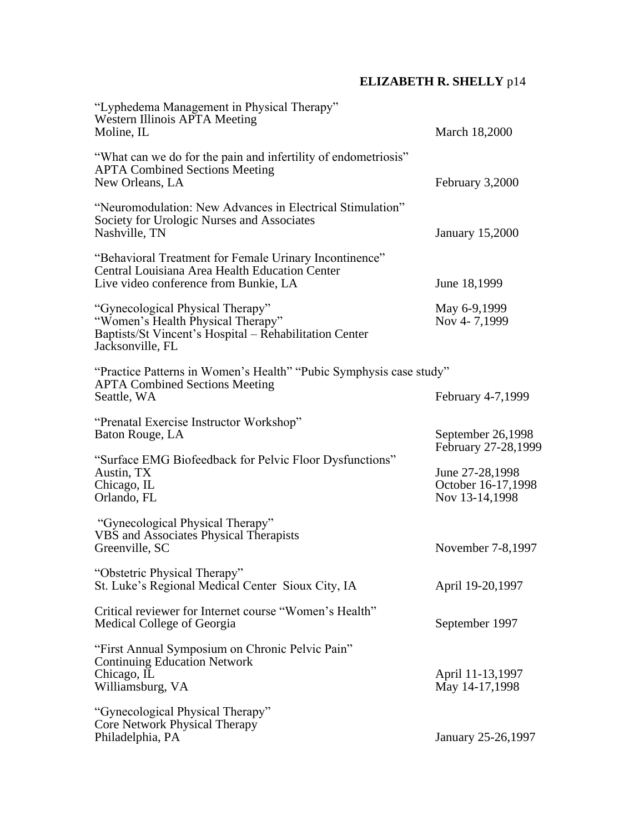| "Lyphedema Management in Physical Therapy"<br>Western Illinois APTA Meeting<br>Moline, IL                                                           | March 18,2000                                           |
|-----------------------------------------------------------------------------------------------------------------------------------------------------|---------------------------------------------------------|
| "What can we do for the pain and infertility of endometriosis"<br><b>APTA Combined Sections Meeting</b><br>New Orleans, LA                          | February 3,2000                                         |
| "Neuromodulation: New Advances in Electrical Stimulation"<br>Society for Urologic Nurses and Associates<br>Nashville, TN                            | <b>January 15,2000</b>                                  |
| "Behavioral Treatment for Female Urinary Incontinence"<br>Central Louisiana Area Health Education Center<br>Live video conference from Bunkie, LA   | June 18,1999                                            |
| "Gynecological Physical Therapy"<br>"Women's Health Physical Therapy"<br>Baptists/St Vincent's Hospital – Rehabilitation Center<br>Jacksonville, FL | May 6-9,1999<br>Nov 4-7,1999                            |
| "Practice Patterns in Women's Health" "Pubic Symphysis case study"<br><b>APTA Combined Sections Meeting</b><br>Seattle, WA                          | February 4-7,1999                                       |
| "Prenatal Exercise Instructor Workshop"<br>Baton Rouge, LA                                                                                          | September 26,1998<br>February 27-28,1999                |
| "Surface EMG Biofeedback for Pelvic Floor Dysfunctions"<br>Austin, TX<br>Chicago, IL<br>Orlando, FL                                                 | June 27-28,1998<br>October 16-17,1998<br>Nov 13-14,1998 |
| "Gynecological Physical Therapy"<br>VBS and Associates Physical Therapists<br>Greenville, SC                                                        | November 7-8,1997                                       |
| "Obstetric Physical Therapy"<br>St. Luke's Regional Medical Center Sioux City, IA                                                                   | April 19-20,1997                                        |
| Critical reviewer for Internet course "Women's Health"<br>Medical College of Georgia                                                                | September 1997                                          |
| "First Annual Symposium on Chronic Pelvic Pain"<br><b>Continuing Education Network</b><br>Chicago, IL<br>Williamsburg, VA                           | April 11-13,1997<br>May 14-17,1998                      |
| "Gynecological Physical Therapy"<br>Core Network Physical Therapy<br>Philadelphia, PA                                                               | January 25-26,1997                                      |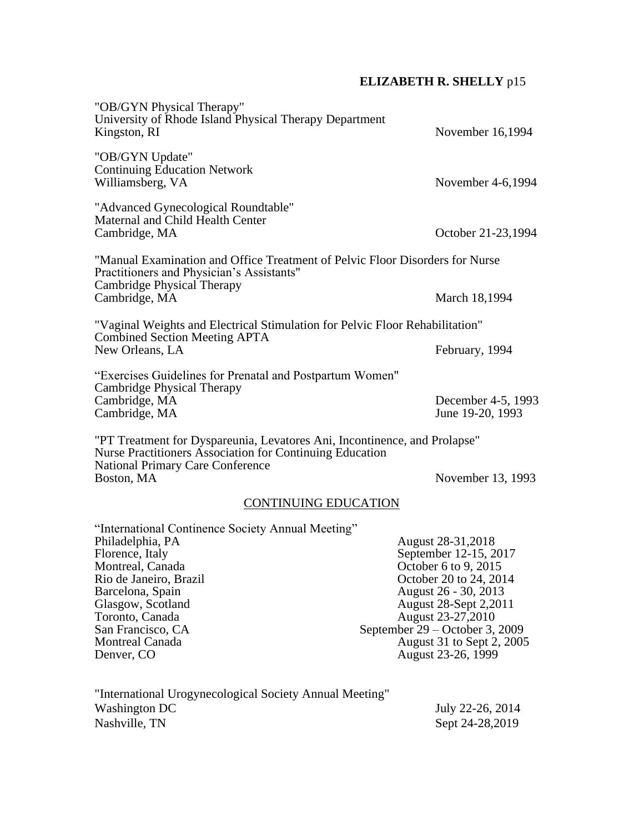| "OB/GYN Physical Therapy"<br>University of Rhode Island Physical Therapy Department<br>Kingston, RI                                                                                          | November 16,1994                                                                                                                                                                                                                     |
|----------------------------------------------------------------------------------------------------------------------------------------------------------------------------------------------|--------------------------------------------------------------------------------------------------------------------------------------------------------------------------------------------------------------------------------------|
| "OB/GYN Update"<br><b>Continuing Education Network</b><br>Williamsberg, VA                                                                                                                   | November 4-6,1994                                                                                                                                                                                                                    |
| "Advanced Gynecological Roundtable"<br>Maternal and Child Health Center<br>Cambridge, MA                                                                                                     | October 21-23,1994                                                                                                                                                                                                                   |
| "Manual Examination and Office Treatment of Pelvic Floor Disorders for Nurse<br>Practitioners and Physician's Assistants"<br>Cambridge Physical Therapy                                      |                                                                                                                                                                                                                                      |
| Cambridge, MA                                                                                                                                                                                | March 18,1994                                                                                                                                                                                                                        |
| "Vaginal Weights and Electrical Stimulation for Pelvic Floor Rehabilitation"                                                                                                                 |                                                                                                                                                                                                                                      |
| <b>Combined Section Meeting APTA</b><br>New Orleans, LA                                                                                                                                      | February, 1994                                                                                                                                                                                                                       |
| "Exercises Guidelines for Prenatal and Postpartum Women"                                                                                                                                     |                                                                                                                                                                                                                                      |
| Cambridge Physical Therapy<br>Cambridge, MA<br>Cambridge, MA                                                                                                                                 | December 4-5, 1993<br>June 19-20, 1993                                                                                                                                                                                               |
| "PT Treatment for Dyspareunia, Levatores Ani, Incontinence, and Prolapse"<br>Nurse Practitioners Association for Continuing Education<br><b>National Primary Care Conference</b>             |                                                                                                                                                                                                                                      |
| Boston, MA                                                                                                                                                                                   | November 13, 1993                                                                                                                                                                                                                    |
| <b>CONTINUING EDUCATION</b>                                                                                                                                                                  |                                                                                                                                                                                                                                      |
| "International Continence Society Annual Meeting"                                                                                                                                            |                                                                                                                                                                                                                                      |
| Philadelphia, PA<br>Florence, Italy<br>Montreal, Canada<br>Rio de Janeiro, Brazil<br>Barcelona, Spain<br>Glasgow, Scotland<br>Toronto, Canada<br>San Francisco, CA<br><b>Montreal Canada</b> | August 28-31, 2018<br>September 12-15, 2017<br>October 6 to 9, 2015<br>October 20 to 24, 2014<br>August 26 - 30, 2013<br>August 28-Sept 2,2011<br>August 23-27,2010<br>September $29 -$ October 3, 2009<br>August 31 to Sept 2, 2005 |
| Denver, CO                                                                                                                                                                                   | August 23-26, 1999                                                                                                                                                                                                                   |
| "International Urogynecological Society Annual Meeting"<br><b>Washington DC</b><br>Nashville, TN                                                                                             | July 22-26, 2014<br>Sept 24-28,2019                                                                                                                                                                                                  |
|                                                                                                                                                                                              |                                                                                                                                                                                                                                      |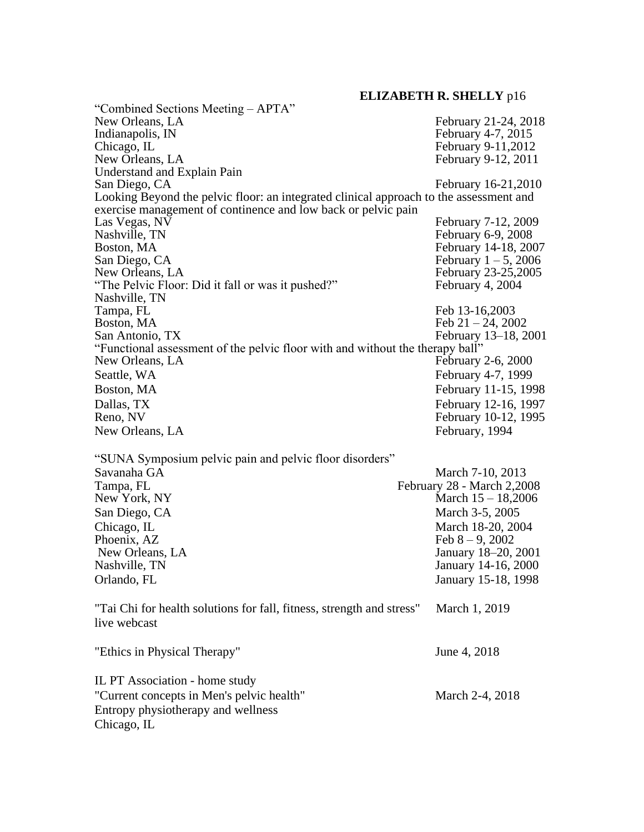**ELIZABETH R. SHELLY** p16 "Combined Sections Meeting – APTA" New Orleans, LA<br>
Indianapolis, IN<br>
February 21-24, 2018<br>
February 4-7, 2015 Indianapolis, IN<br>
Chicago. IL February 4-7, 2015<br>
February 9-11.2012 Chicago, IL<br>
New Orleans. LA<br>
February 9-11,2012<br>
February 9-12, 2011 February 9-12, 2011 Understand and Explain Pain February 16-21,2010 Looking Beyond the pelvic floor: an integrated clinical approach to the assessment and exercise management of continence and low back or pelvic pain<br>Las Vegas, NV Las Vegas, NV<br>
Nashville, TN<br>
February 6-9, 2008 Nashville, TN<br>Boston, MA<br>February 14-18, 2008 Boston, MA February 14-18, 2007<br>San Diego, CA February 1 – 5, 2006 San Diego, CA<br>
New Orleans, LA<br>
February 23-25,2005 February 23-25,2005 "The Pelvic Floor: Did it fall or was it pushed?" February 4, 2004 Nashville, TN Tampa, FL<br>Boston, MA<br>Feb 21 – 24, 2003 Boston, MA<br>
San Antonio, TX<br>
San Antonio, TX<br>
February 13–18, 2 February 13–18, 2001 "Functional assessment of the pelvic floor with and without the therapy ball" New Orleans, LA February 2-6, 2000 Seattle, WA February 4-7, 1999 Boston, MA February 11-15, 1998 Dallas, TX<br>
Reno, NV<br>
Reno, NV<br>
February 10-12, 1995 February 10-12, 1995 New Orleans, LA February, 1994 "SUNA Symposium pelvic pain and pelvic floor disorders" Savanaha GA March 7-10, 2013 Tampa, FL<br>
New York, NY<br>
Hebruary 28 - March 2,2008<br>
March 15 - 18,2006 March  $15 - 18,2006$ San Diego, CA March 3-5, 2005 Chicago, IL<br>
Phoenix, AZ<br>
Phoenix, AZ<br>
Feb 8 – 9, 2002 Feb  $8 - 9$ , 2002 New Orleans, LA January 18–20, 2001 Nashville, TN January 14-16, 2000 Orlando, FL January 15-18, 1998 "Tai Chi for health solutions for fall, fitness, strength and stress" March 1, 2019 live webcast "Ethics in Physical Therapy" June 4, 2018 IL PT Association - home study "Current concepts in Men's pelvic health" March 2-4, 2018

Entropy physiotherapy and wellness

Chicago, IL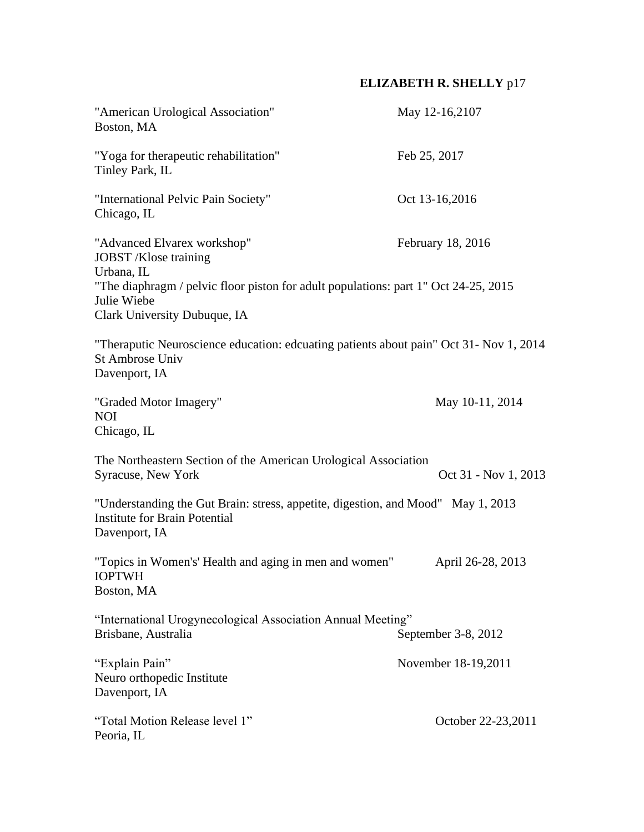| "American Urological Association"<br>Boston, MA                                                                                                                                                          | May 12-16,2107       |
|----------------------------------------------------------------------------------------------------------------------------------------------------------------------------------------------------------|----------------------|
| "Yoga for therapeutic rehabilitation"<br>Tinley Park, IL                                                                                                                                                 | Feb 25, 2017         |
| "International Pelvic Pain Society"<br>Chicago, IL                                                                                                                                                       | Oct 13-16,2016       |
| "Advanced Elvarex workshop"<br>JOBST /Klose training<br>Urbana, IL<br>"The diaphragm / pelvic floor piston for adult populations: part 1" Oct 24-25, 2015<br>Julie Wiebe<br>Clark University Dubuque, IA | February 18, 2016    |
| "Theraputic Neuroscience education: edcuating patients about pain" Oct 31- Nov 1, 2014<br>St Ambrose Univ<br>Davenport, IA                                                                               |                      |
| "Graded Motor Imagery"<br><b>NOI</b><br>Chicago, IL                                                                                                                                                      | May 10-11, 2014      |
| The Northeastern Section of the American Urological Association<br>Syracuse, New York                                                                                                                    | Oct 31 - Nov 1, 2013 |
| "Understanding the Gut Brain: stress, appetite, digestion, and Mood" May 1, 2013<br><b>Institute for Brain Potential</b><br>Davenport, IA                                                                |                      |
| "Topics in Women's' Health and aging in men and women"<br><b>IOPTWH</b><br>Boston, MA                                                                                                                    | April 26-28, 2013    |
| "International Urogynecological Association Annual Meeting"<br>Brisbane, Australia                                                                                                                       | September 3-8, 2012  |
| "Explain Pain"<br>Neuro orthopedic Institute<br>Davenport, IA                                                                                                                                            | November 18-19,2011  |
| "Total Motion Release level 1"<br>Peoria, IL                                                                                                                                                             | October 22-23,2011   |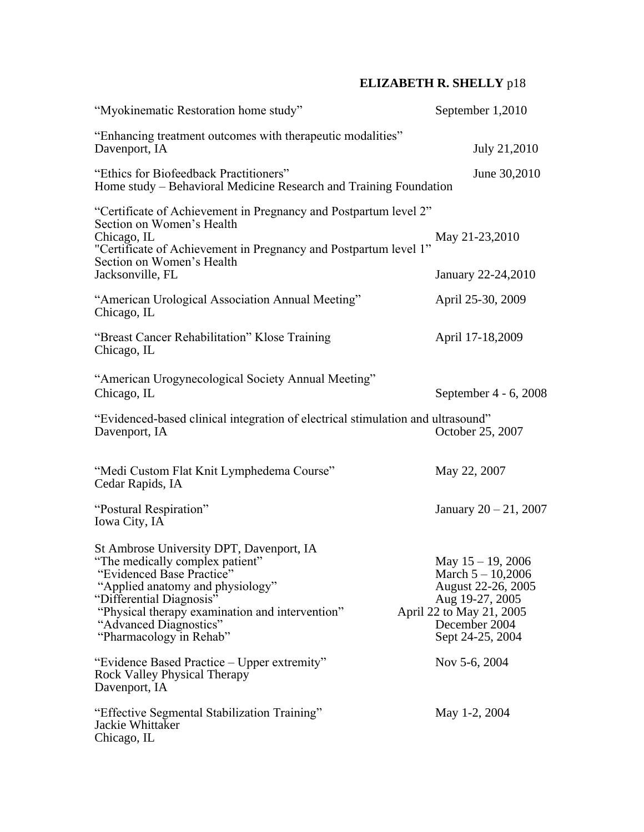| "Myokinematic Restoration home study"                                                                                                                                                                                                                                                 | September 1,2010                                                                                                                                      |
|---------------------------------------------------------------------------------------------------------------------------------------------------------------------------------------------------------------------------------------------------------------------------------------|-------------------------------------------------------------------------------------------------------------------------------------------------------|
| "Enhancing treatment outcomes with therapeutic modalities"<br>Davenport, IA                                                                                                                                                                                                           | July 21,2010                                                                                                                                          |
| "Ethics for Biofeedback Practitioners"<br>Home study – Behavioral Medicine Research and Training Foundation                                                                                                                                                                           | June 30,2010                                                                                                                                          |
| "Certificate of Achievement in Pregnancy and Postpartum level 2"<br>Section on Women's Health<br>Chicago, IL<br>"Certificate of Achievement in Pregnancy and Postpartum level 1"<br>Section on Women's Health<br>Jacksonville, FL<br>"American Urological Association Annual Meeting" | May 21-23,2010<br>January 22-24,2010<br>April 25-30, 2009                                                                                             |
| Chicago, IL<br>"Breast Cancer Rehabilitation" Klose Training<br>Chicago, IL                                                                                                                                                                                                           | April 17-18,2009                                                                                                                                      |
| "American Urogynecological Society Annual Meeting"<br>Chicago, IL<br>"Evidenced-based clinical integration of electrical stimulation and ultrasound"<br>Davenport, IA                                                                                                                 | September 4 - 6, 2008<br>October 25, 2007                                                                                                             |
| "Medi Custom Flat Knit Lymphedema Course"<br>Cedar Rapids, IA                                                                                                                                                                                                                         | May 22, 2007                                                                                                                                          |
| "Postural Respiration"<br>Iowa City, IA                                                                                                                                                                                                                                               | January $20 - 21$ , 2007                                                                                                                              |
| St Ambrose University DPT, Davenport, IA<br>"The medically complex patient"<br>'Evidenced Base Practice'<br>"Applied anatomy and physiology"<br>"Differential Diagnosis"<br>"Physical therapy examination and intervention"<br>"Advanced Diagnostics"<br>"Pharmacology in Rehab"      | May $15 - 19$ , 2006<br>March $5 - 10,2006$<br>August 22-26, 2005<br>Aug 19-27, 2005<br>April 22 to May 21, 2005<br>December 2004<br>Sept 24-25, 2004 |
| "Evidence Based Practice – Upper extremity"<br>Rock Valley Physical Therapy<br>Davenport, IA                                                                                                                                                                                          | Nov 5-6, 2004                                                                                                                                         |
| "Effective Segmental Stabilization Training"<br>Jackie Whittaker<br>Chicago, IL                                                                                                                                                                                                       | May 1-2, 2004                                                                                                                                         |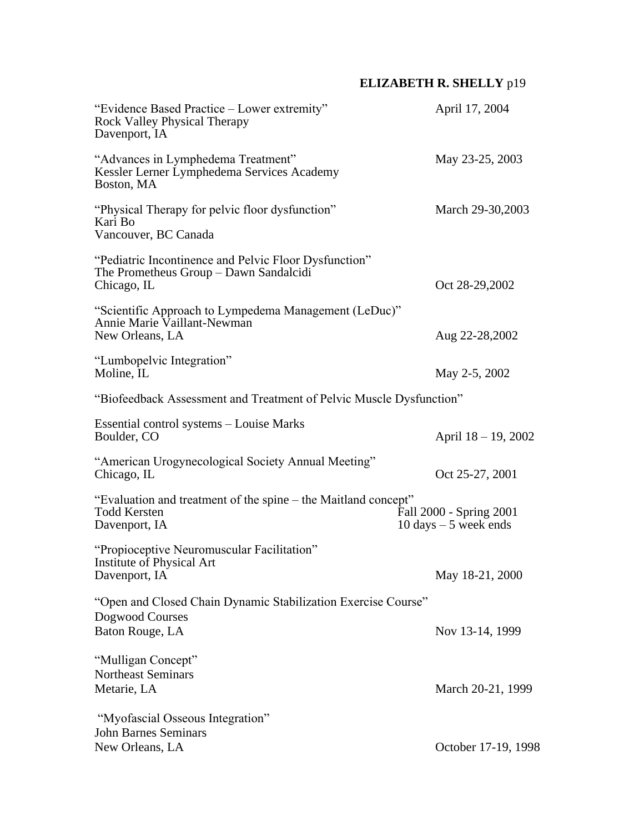| "Evidence Based Practice – Lower extremity"<br><b>Rock Valley Physical Therapy</b><br>Davenport, IA            | April 17, 2004                                                     |
|----------------------------------------------------------------------------------------------------------------|--------------------------------------------------------------------|
| "Advances in Lymphedema Treatment"<br>Kessler Lerner Lymphedema Services Academy<br>Boston, MA                 | May 23-25, 2003                                                    |
| "Physical Therapy for pelvic floor dysfunction"<br>Kari Bo<br>Vancouver, BC Canada                             | March 29-30,2003                                                   |
| "Pediatric Incontinence and Pelvic Floor Dysfunction"<br>The Prometheus Group - Dawn Sandalcidi<br>Chicago, IL | Oct 28-29,2002                                                     |
| "Scientific Approach to Lympedema Management (LeDuc)"<br>Annie Marie Vaillant-Newman<br>New Orleans, LA        | Aug 22-28,2002                                                     |
| "Lumbopelvic Integration"<br>Moline, IL                                                                        | May 2-5, 2002                                                      |
| "Biofeedback Assessment and Treatment of Pelvic Muscle Dysfunction"                                            |                                                                    |
| Essential control systems - Louise Marks<br>Boulder, CO                                                        | April 18 - 19, 2002                                                |
| "American Urogynecological Society Annual Meeting"<br>Chicago, IL                                              | Oct 25-27, 2001                                                    |
| "Evaluation and treatment of the spine – the Maitland concept"<br><b>Todd Kersten</b><br>Davenport, IA         | Fall 2000 - Spring 2001<br>$10 \text{ days} - 5 \text{ week ends}$ |
| "Propioceptive Neuromuscular Facilitation"<br>Institute of Physical Art<br>Davenport, IA                       | May 18-21, 2000                                                    |
| "Open and Closed Chain Dynamic Stabilization Exercise Course"<br>Dogwood Courses<br>Baton Rouge, LA            | Nov 13-14, 1999                                                    |
| "Mulligan Concept"<br><b>Northeast Seminars</b><br>Metarie, LA                                                 | March 20-21, 1999                                                  |
| "Myofascial Osseous Integration"<br><b>John Barnes Seminars</b><br>New Orleans, LA                             | October 17-19, 1998                                                |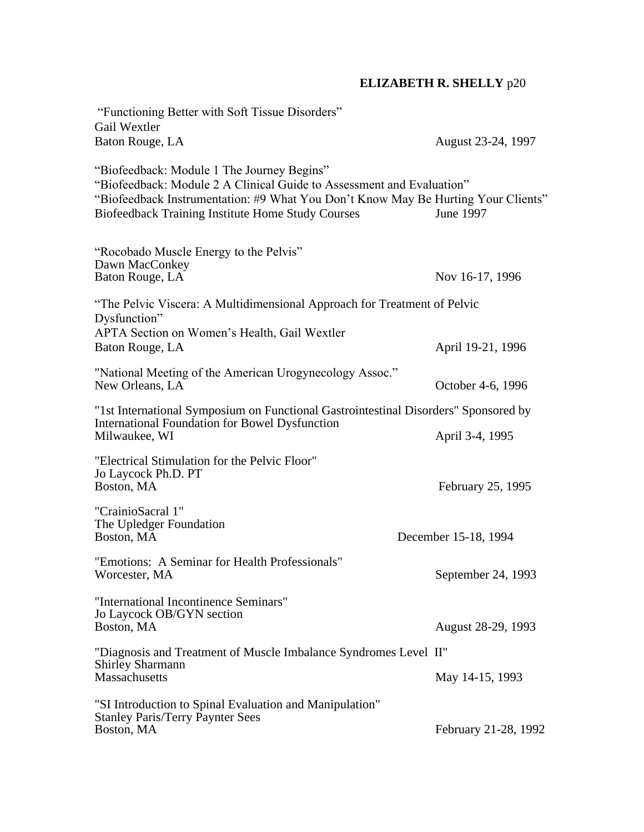| "Functioning Better with Soft Tissue Disorders"<br>Gail Wextler                                                                                                                                                                                                      |                      |
|----------------------------------------------------------------------------------------------------------------------------------------------------------------------------------------------------------------------------------------------------------------------|----------------------|
| Baton Rouge, LA                                                                                                                                                                                                                                                      | August 23-24, 1997   |
| "Biofeedback: Module 1 The Journey Begins"<br>"Biofeedback: Module 2 A Clinical Guide to Assessment and Evaluation"<br>"Biofeedback Instrumentation: #9 What You Don't Know May Be Hurting Your Clients"<br><b>Biofeedback Training Institute Home Study Courses</b> | June 1997            |
| "Rocobado Muscle Energy to the Pelvis"<br>Dawn MacConkey<br>Baton Rouge, LA                                                                                                                                                                                          | Nov 16-17, 1996      |
| "The Pelvic Viscera: A Multidimensional Approach for Treatment of Pelvic<br>Dysfunction"<br>APTA Section on Women's Health, Gail Wextler                                                                                                                             |                      |
| Baton Rouge, LA                                                                                                                                                                                                                                                      | April 19-21, 1996    |
| "National Meeting of the American Urogynecology Assoc."<br>New Orleans, LA                                                                                                                                                                                           | October 4-6, 1996    |
| "1st International Symposium on Functional Gastrointestinal Disorders" Sponsored by                                                                                                                                                                                  |                      |
| <b>International Foundation for Bowel Dysfunction</b><br>Milwaukee, WI                                                                                                                                                                                               | April 3-4, 1995      |
| "Electrical Stimulation for the Pelvic Floor"<br>Jo Laycock Ph.D. PT<br>Boston, MA                                                                                                                                                                                   | February 25, 1995    |
| "CrainioSacral 1"<br>The Upledger Foundation<br>Boston, MA                                                                                                                                                                                                           | December 15-18, 1994 |
| "Emotions: A Seminar for Health Professionals"<br>Worcester, MA                                                                                                                                                                                                      | September 24, 1993   |
| "International Incontinence Seminars"<br>Jo Laycock OB/GYN section<br>Boston, MA                                                                                                                                                                                     | August 28-29, 1993   |
| "Diagnosis and Treatment of Muscle Imbalance Syndromes Level II"                                                                                                                                                                                                     |                      |
| <b>Shirley Sharmann</b><br><b>Massachusetts</b>                                                                                                                                                                                                                      | May 14-15, 1993      |
| "SI Introduction to Spinal Evaluation and Manipulation"<br><b>Stanley Paris/Terry Paynter Sees</b><br>Boston, MA                                                                                                                                                     | February 21-28, 1992 |